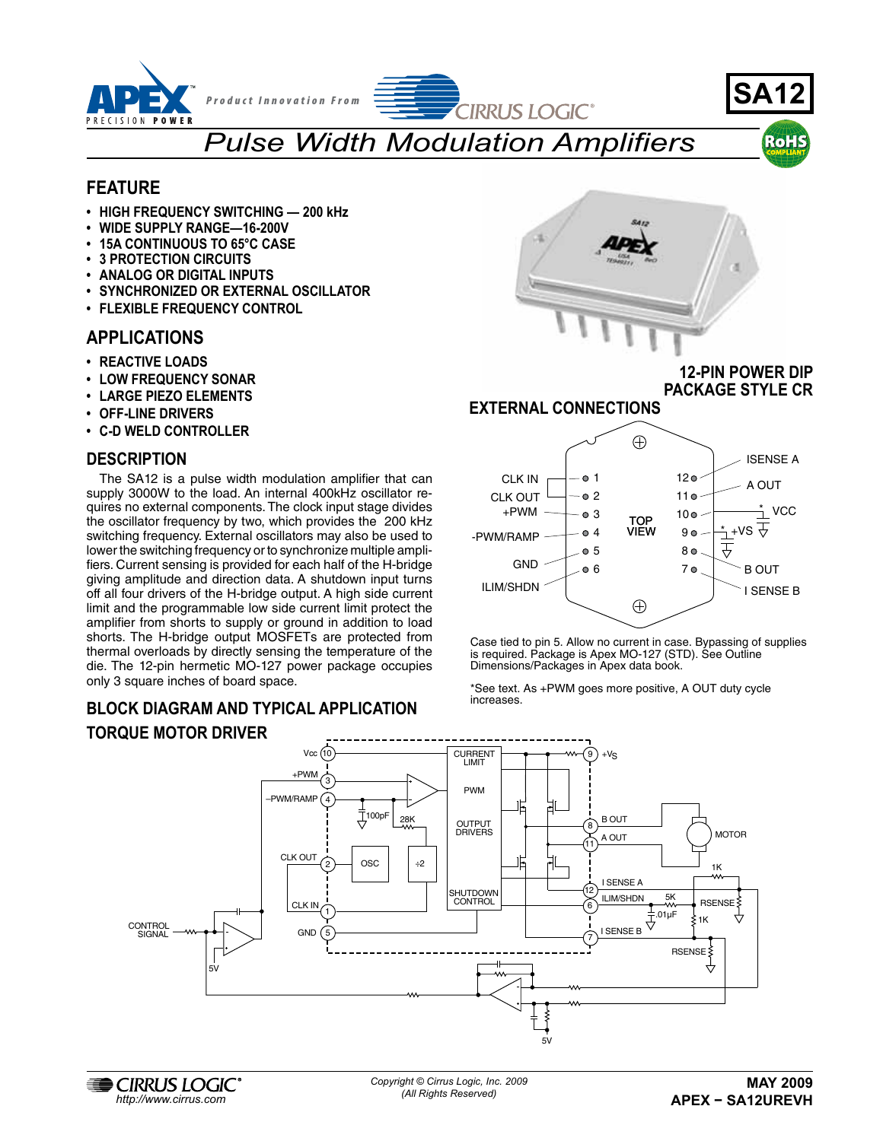

### **FEATURE**

- **• HIGH FREQUENCY SWITCHING — 200 kHz**
- **• WIDE SUPPLY RANGE—16-200V**
- **• 15A CONTINUOUS TO 65°C case**
- **• 3 PROTECTION CIRCUITS**
- **• ANALOG OR DIGITAL INPUTS**
- **• SYNCHRONIZED OR EXTERNAL OSCILLATOR**
- **• FLEXIBLE FREQUENCY CONTROL**

# **APPLICATIONS**

- **• REACTIVE LOADS**
- **• LOW FREQUENCY SONAR**
- **• LARGE PIEZO ELEMENTS**
- **• OFF-LINE DRIVERS**
- **• C-D WELD CONTROLLER**

### **DESCRIPTION**

The SA12 is a pulse width modulation amplifier that can supply 3000W to the load. An internal 400kHz oscillator requires no external components. The clock input stage divides the oscillator frequency by two, which provides the 200 kHz switching frequency. External oscillators may also be used to lower the switching frequency or to synchronize multiple amplifiers. Current sensing is provided for each half of the H-bridge giving amplitude and direction data. A shutdown input turns off all four drivers of the H-bridge output. A high side current limit and the programmable low side current limit protect the amplifier from shorts to supply or ground in addition to load shorts. The H-bridge output MOSFETs are protected from thermal overloads by directly sensing the temperature of the die. The 12-pin hermetic MO-127 power package occupies only 3 square inches of board space.

# **BLOCK DIAGRAM AND TYPICAL APPLICATION TORQUE MOTOR DRIVER**



**12-pin Power DIP PACKAGE STYLE CR**

### **EXTERNAL CONNECTIONS**



Case tied to pin 5. Allow no current in case. Bypassing of supplies is required. Package is Apex MO-127 (STD). See Outline Dimensions/Packages in Apex data book.

\*See text. As +PWM goes more positive, A OUT duty cycle increases.



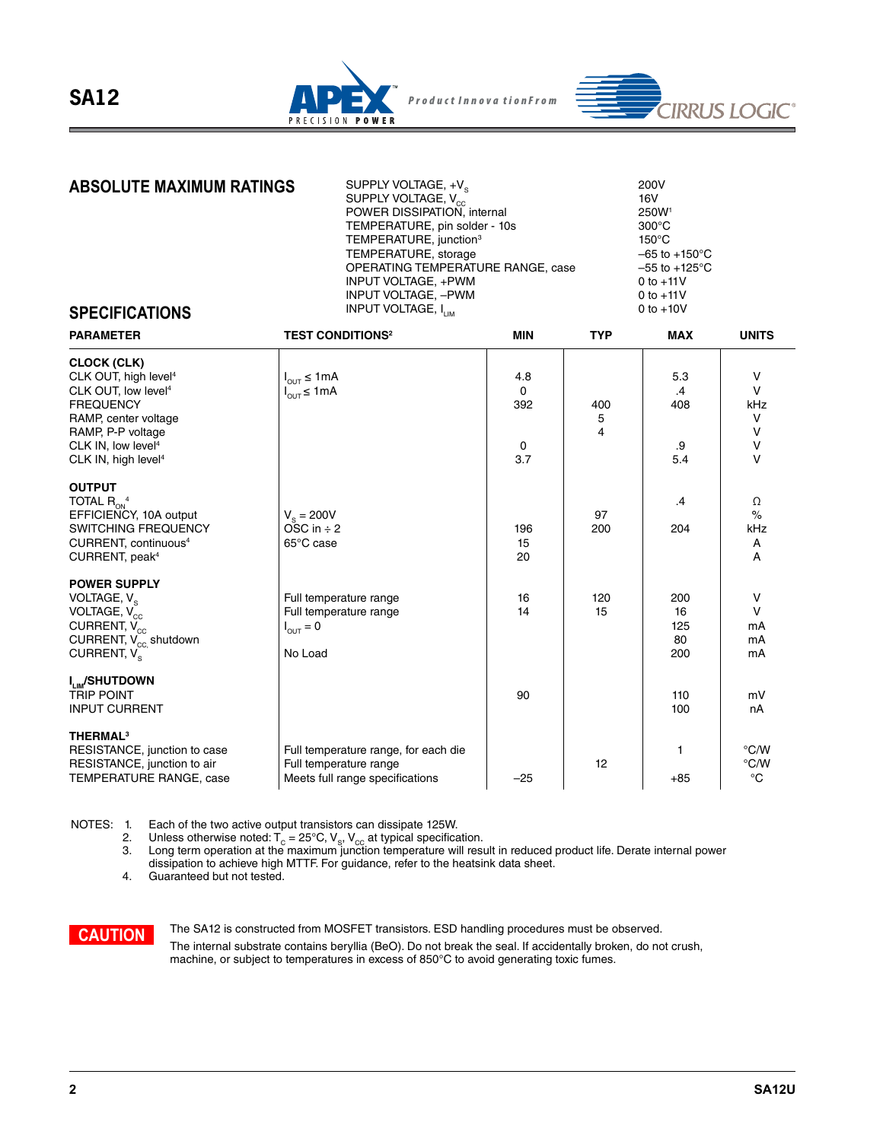

# **ABSOLUTE MAXIMUM RATINGS** SUPPLY VOLTAGE, +V<sub>S</sub> 200V

| <b>SPECIFICATIONS</b>                                                                                                                                                                                                           | SUPPLY VOLTAGE, V <sub>cc</sub><br>TEMPERATURE, storage<br>INPUT VOLTAGE, +PWM<br>INPUT VOLTAGE, -PWM<br><b>INPUT VOLTAGE, I<sub>LM</sub></b> | POWER DISSIPATION, internal<br>TEMPERATURE, pin solder - 10s<br>TEMPERATURE, junction <sup>3</sup><br>OPERATING TEMPERATURE RANGE, case |               | <b>16V</b><br>250W <sup>1</sup><br>$300^{\circ}$ C<br>$150^{\circ}$ C<br>$-65$ to $+150^{\circ}$ C<br>$-55$ to $+125^{\circ}$ C<br>0 to $+11V$<br>0 to $+11V$<br>0 to $+10V$ |                                                       |
|---------------------------------------------------------------------------------------------------------------------------------------------------------------------------------------------------------------------------------|-----------------------------------------------------------------------------------------------------------------------------------------------|-----------------------------------------------------------------------------------------------------------------------------------------|---------------|------------------------------------------------------------------------------------------------------------------------------------------------------------------------------|-------------------------------------------------------|
| <b>PARAMETER</b>                                                                                                                                                                                                                | <b>TEST CONDITIONS<sup>2</sup></b>                                                                                                            | <b>MIN</b>                                                                                                                              | <b>TYP</b>    | <b>MAX</b>                                                                                                                                                                   | <b>UNITS</b>                                          |
| <b>CLOCK (CLK)</b><br>CLK OUT, high level <sup>4</sup><br>CLK OUT, low level <sup>4</sup><br><b>FREQUENCY</b><br>RAMP, center voltage<br>RAMP, P-P voltage<br>CLK IN, low level <sup>4</sup><br>CLK IN, high level <sup>4</sup> | $I_{OUT} \leq 1mA$<br>$I_{OUT} \leq 1mA$                                                                                                      | 4.8<br>$\Omega$<br>392<br>0<br>3.7                                                                                                      | 400<br>5<br>4 | 5.3<br>.4<br>408<br>.9<br>5.4                                                                                                                                                | V<br>$\vee$<br>kHz<br>$\vee$<br>$\vee$<br>V<br>$\vee$ |
| <b>OUTPUT</b><br>TOTAL $R_{ON}^{-4}$<br>EFFICIENCY, 10A output<br>SWITCHING FREQUENCY<br>CURRENT, continuous <sup>4</sup><br>CURRENT, peak <sup>4</sup>                                                                         | $V_s = 200V$<br>OSC in $\div$ 2<br>65°C case                                                                                                  | 196<br>15<br>20                                                                                                                         | 97<br>200     | $\cdot$<br>204                                                                                                                                                               | Ω<br>$\%$<br>kHz<br>Α<br>A                            |
| <b>POWER SUPPLY</b><br>VOLTAGE, V <sub>s</sub><br>VOLTAGE, V <sub>cc</sub><br>CURRENT, V <sub>cc</sub><br>CURRENT, V <sub>cc,</sub> shutdown<br>CURRENT, V <sub>e</sub>                                                         | Full temperature range<br>Full temperature range<br>$I_{\text{OUT}} = 0$<br>No Load                                                           | 16<br>14                                                                                                                                | 120<br>15     | 200<br>16<br>125<br>80<br>200                                                                                                                                                | $\mathsf{V}$<br>V<br>mA<br>mA<br>mA                   |
| <b>I<sub>LIM</sub>/SHUTDOWN</b><br><b>TRIP POINT</b><br><b>INPUT CURRENT</b>                                                                                                                                                    |                                                                                                                                               | 90                                                                                                                                      |               | 110<br>100                                                                                                                                                                   | mV<br>nA                                              |
| <b>THERMAL<sup>3</sup></b><br>RESISTANCE, junction to case<br>RESISTANCE, junction to air<br>TEMPERATURE RANGE, case                                                                                                            | Full temperature range, for each die<br>Full temperature range<br>Meets full range specifications                                             | $-25$                                                                                                                                   | 12            | 1<br>$+85$                                                                                                                                                                   | °C/W<br>$\degree$ C/W<br>$^{\circ}C$                  |

NOTES: 1. Each of the two active output transistors can dissipate 125W.

2. Unless otherwise noted:  $T_c = 25^\circ C$ ,  $V_c$ ,  $V_{cc}$  at typical specification.<br>3. Long term operation at the maximum junction temperature will resu

Long term operation at the maximum junction temperature will result in reduced product life. Derate internal power dissipation to achieve high MTTF. For guidance, refer to the heatsink data sheet.

4. Guaranteed but not tested.



The SA12 is constructed from MOSFET transistors. ESD handling procedures must be observed. The internal substrate contains beryllia (BeO). Do not break the seal. If accidentally broken, do not crush, machine, or subject to temperatures in excess of 850°C to avoid generating toxic fumes.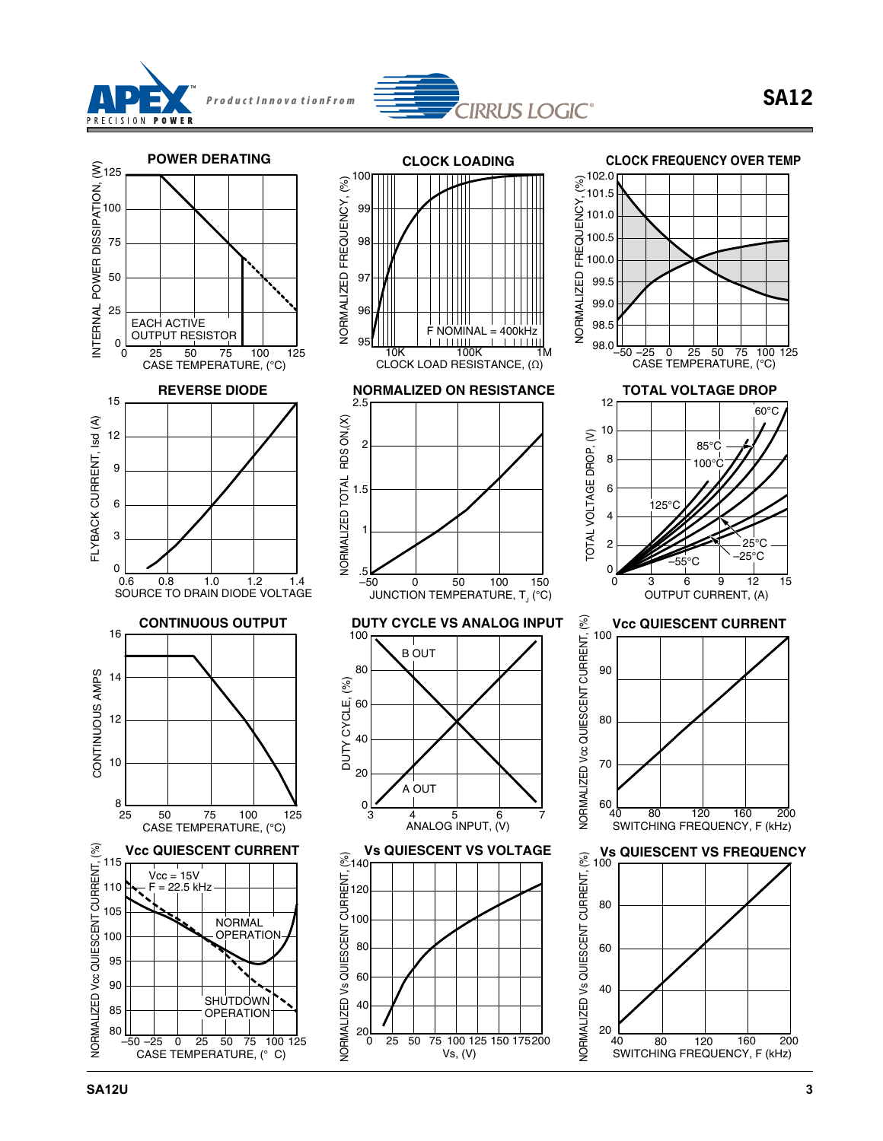





**SA12U 3**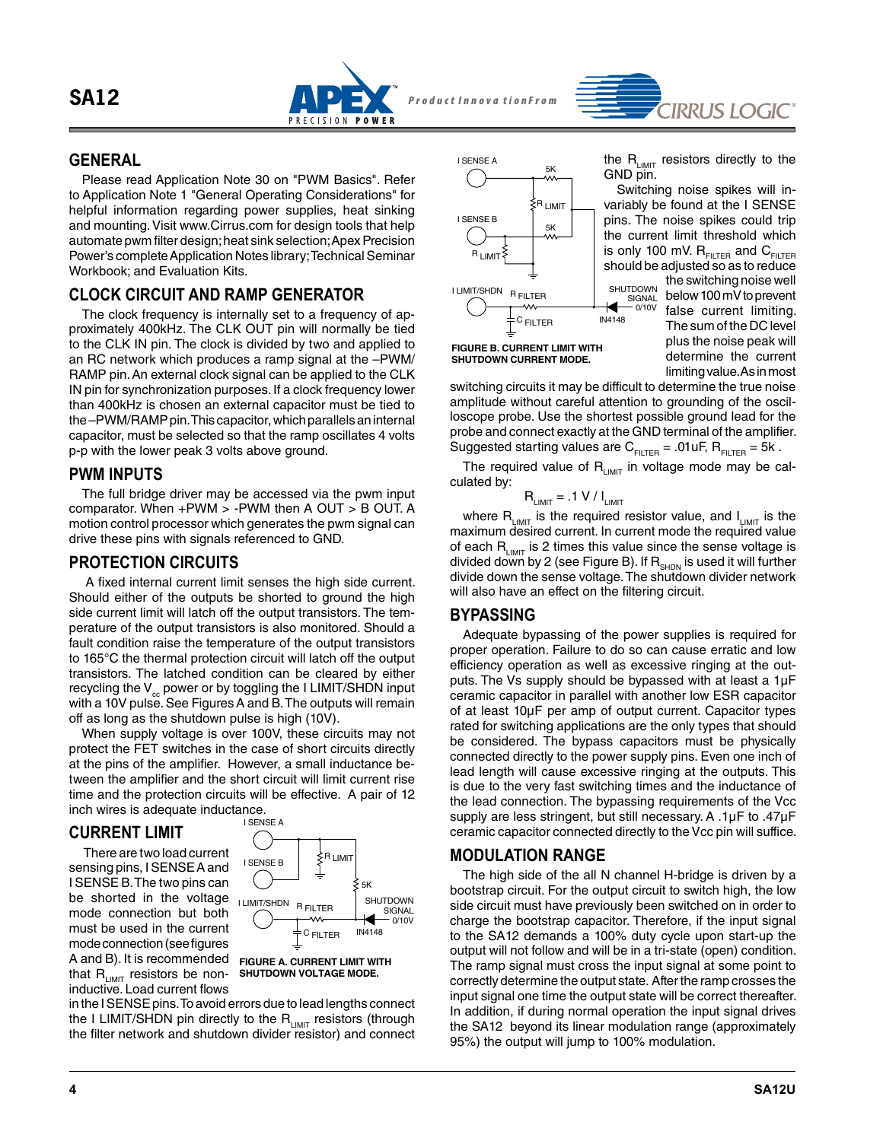



#### **GENERAL**

Please read Application Note 30 on "PWM Basics". Refer to Application Note 1 "General Operating Considerations" for helpful information regarding power supplies, heat sinking and mounting. Visit www.Cirrus.com for design tools that help automate pwm filter design; heat sink selection; Apex Precision Power's complete Application Notes library; Technical Seminar Workbook; and Evaluation Kits.

### **CLOCK CIRCUIT AND RAMP GENERATOR**

The clock frequency is internally set to a frequency of approximately 400kHz. The CLK OUT pin will normally be tied to the CLK IN pin. The clock is divided by two and applied to an RC network which produces a ramp signal at the –PWM/ RAMP pin. An external clock signal can be applied to the CLK IN pin for synchronization purposes. If a clock frequency lower than 400kHz is chosen an external capacitor must be tied to the –PWM/RAMP pin. This capacitor, which parallels an internal capacitor, must be selected so that the ramp oscillates 4 volts p-p with the lower peak 3 volts above ground.

#### **PWM INPUTS**

The full bridge driver may be accessed via the pwm input comparator. When +PWM > -PWM then A OUT > B OUT. A motion control processor which generates the pwm signal can drive these pins with signals referenced to GND.

### **PROTECTION CIRCUITS**

 A fixed internal current limit senses the high side current. Should either of the outputs be shorted to ground the high side current limit will latch off the output transistors. The temperature of the output transistors is also monitored. Should a fault condition raise the temperature of the output transistors to 165°C the thermal protection circuit will latch off the output transistors. The latched condition can be cleared by either recycling the  $V_{cc}$  power or by toggling the I LIMIT/SHDN input with a 10V pulse. See Figures A and B. The outputs will remain off as long as the shutdown pulse is high (10V).

When supply voltage is over 100V, these circuits may not protect the FET switches in the case of short circuits directly at the pins of the amplifier. However, a small inductance between the amplifier and the short circuit will limit current rise time and the protection circuits will be effective. A pair of 12 inch wires is adequate inductance.

# **CURRENT LIMIT**

 There are two load current sensing pins, I SENSE A and I SENSE B. The two pins can be shorted in the voltage mode connection but both must be used in the current mode connection (see figures A and B). It is recommended that  $R_{LIMIT}$  resistors be noninductive. Load current flows



**FIGURE A. CURRENT LIMIT WITH SHUTDOWN VOLTAGE MODE.**

in the I SENSE pins. To avoid errors due to lead lengths connect the I LIMIT/SHDN pin directly to the  $R_{LIMIT}$  resistors (through the filter network and shutdown divider resistor) and connect



**FIGURE B. CURRENT LIMIT WITH SHUTDOWN CURRENT MODE.**

the  $R_{LIMIT}$  resistors directly to the GND pin.

Switching noise spikes will invariably be found at the I SENSE pins. The noise spikes could trip the current limit threshold which is only 100 mV.  $R_{\text{FILTER}}$  and  $C_{\text{FILTER}}$ should be adjusted so as to reduce

the switching noise well below 100 mV to prevent false current limiting. The sum of the DC level plus the noise peak will determine the current limiting value. As in most

switching circuits it may be difficult to determine the true noise amplitude without careful attention to grounding of the oscilloscope probe. Use the shortest possible ground lead for the probe and connect exactly at the GND terminal of the amplifier. Suggested starting values are  $C_{FILTER} = .01$ uF,  $R_{FILTER} = 5k$ .

 $-0/10V$ 

SIGNAL

The required value of  $R_{LIMIT}$  in voltage mode may be calculated by:

$$
R_{LIMIT} = .1 V / I_{LIMIT}
$$

where  $R_{LIMIT}$  is the required resistor value, and  $I_{LIMIT}$  is the maximum desired current. In current mode the required value of each  $R_{LIMIT}$  is 2 times this value since the sense voltage is divided down by 2 (see Figure B). If  $R_{\text{SHDN}}$  is used it will further divide down the sense voltage. The shutdown divider network will also have an effect on the filtering circuit.

#### **BYPASSING**

Adequate bypassing of the power supplies is required for proper operation. Failure to do so can cause erratic and low efficiency operation as well as excessive ringing at the outputs. The Vs supply should be bypassed with at least a 1µF ceramic capacitor in parallel with another low ESR capacitor of at least 10µF per amp of output current. Capacitor types rated for switching applications are the only types that should be considered. The bypass capacitors must be physically connected directly to the power supply pins. Even one inch of lead length will cause excessive ringing at the outputs. This is due to the very fast switching times and the inductance of the lead connection. The bypassing requirements of the Vcc supply are less stringent, but still necessary. A .1µF to .47µF ceramic capacitor connected directly to the Vcc pin will suffice.

### **MODULATION RANGE**

The high side of the all N channel H-bridge is driven by a bootstrap circuit. For the output circuit to switch high, the low side circuit must have previously been switched on in order to charge the bootstrap capacitor. Therefore, if the input signal to the SA12 demands a 100% duty cycle upon start-up the output will not follow and will be in a tri-state (open) condition. The ramp signal must cross the input signal at some point to correctly determine the output state. After the ramp crosses the input signal one time the output state will be correct thereafter. In addition, if during normal operation the input signal drives the SA12 beyond its linear modulation range (approximately 95%) the output will jump to 100% modulation.